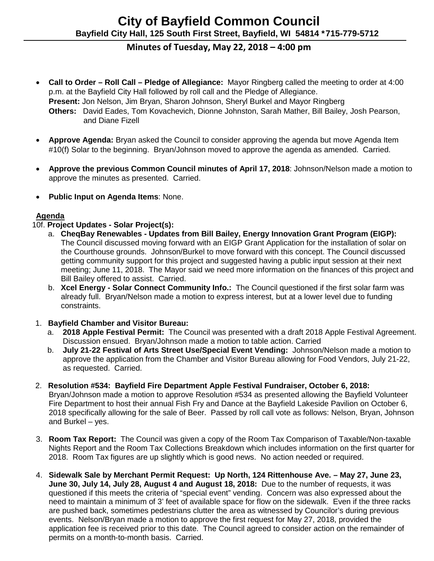# **Minutes of Tuesday, May 22, 2018 – 4:00 pm**

- **Call to Order – Roll Call – Pledge of Allegiance:** Mayor Ringberg called the meeting to order at 4:00 p.m. at the Bayfield City Hall followed by roll call and the Pledge of Allegiance. **Present:** Jon Nelson, Jim Bryan, Sharon Johnson, Sheryl Burkel and Mayor Ringberg **Others:** David Eades, Tom Kovachevich, Dionne Johnston, Sarah Mather, Bill Bailey, Josh Pearson, and Diane Fizell
- **Approve Agenda:** Bryan asked the Council to consider approving the agenda but move Agenda Item #10(f) Solar to the beginning. Bryan/Johnson moved to approve the agenda as amended. Carried.
- **Approve the previous Common Council minutes of April 17, 2018**: Johnson/Nelson made a motion to approve the minutes as presented. Carried.
- **Public Input on Agenda Items**: None.

## **Agenda**

## 10f. **Project Updates - Solar Project(s):**

- a. **CheqBay Renewables - Updates from Bill Bailey, Energy Innovation Grant Program (EIGP):** The Council discussed moving forward with an EIGP Grant Application for the installation of solar on the Courthouse grounds. Johnson/Burkel to move forward with this concept. The Council discussed getting community support for this project and suggested having a public input session at their next meeting; June 11, 2018. The Mayor said we need more information on the finances of this project and Bill Bailey offered to assist. Carried.
- b. **Xcel Energy - Solar Connect Community Info.:** The Council questioned if the first solar farm was already full. Bryan/Nelson made a motion to express interest, but at a lower level due to funding constraints.

#### 1. **Bayfield Chamber and Visitor Bureau:**

- a. **2018 Apple Festival Permit:** The Council was presented with a draft 2018 Apple Festival Agreement. Discussion ensued. Bryan/Johnson made a motion to table action. Carried
- b. **July 21-22 Festival of Arts Street Use/Special Event Vending:** Johnson/Nelson made a motion to approve the application from the Chamber and Visitor Bureau allowing for Food Vendors, July 21-22, as requested. Carried.
- 2. **Resolution #534: Bayfield Fire Department Apple Festival Fundraiser, October 6, 2018:** Bryan/Johnson made a motion to approve Resolution #534 as presented allowing the Bayfield Volunteer Fire Department to host their annual Fish Fry and Dance at the Bayfield Lakeside Pavilion on October 6, 2018 specifically allowing for the sale of Beer. Passed by roll call vote as follows: Nelson, Bryan, Johnson and Burkel – yes.
- 3. **Room Tax Report:** The Council was given a copy of the Room Tax Comparison of Taxable/Non-taxable Nights Report and the Room Tax Collections Breakdown which includes information on the first quarter for 2018. Room Tax figures are up slightly which is good news. No action needed or required.
- 4. **Sidewalk Sale by Merchant Permit Request: Up North, 124 Rittenhouse Ave. – May 27, June 23, June 30, July 14, July 28, August 4 and August 18, 2018:** Due to the number of requests, it was questioned if this meets the criteria of "special event" vending. Concern was also expressed about the need to maintain a minimum of 3' feet of available space for flow on the sidewalk. Even if the three racks are pushed back, sometimes pedestrians clutter the area as witnessed by Councilor's during previous events. Nelson/Bryan made a motion to approve the first request for May 27, 2018, provided the application fee is received prior to this date. The Council agreed to consider action on the remainder of permits on a month-to-month basis. Carried.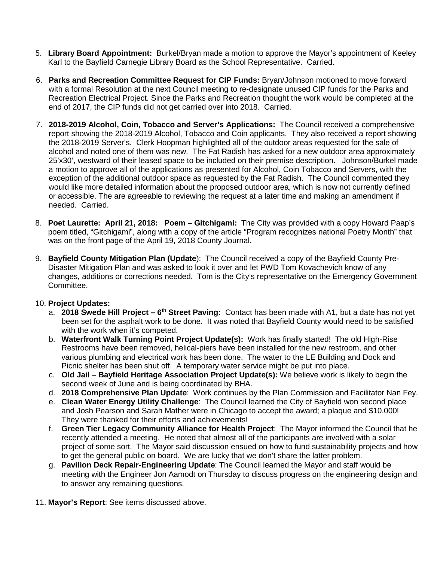- 5. **Library Board Appointment:** Burkel/Bryan made a motion to approve the Mayor's appointment of Keeley Karl to the Bayfield Carnegie Library Board as the School Representative. Carried.
- 6. **Parks and Recreation Committee Request for CIP Funds:** Bryan/Johnson motioned to move forward with a formal Resolution at the next Council meeting to re-designate unused CIP funds for the Parks and Recreation Electrical Project. Since the Parks and Recreation thought the work would be completed at the end of 2017, the CIP funds did not get carried over into 2018. Carried.
- 7. **2018-2019 Alcohol, Coin, Tobacco and Server's Applications:** The Council received a comprehensive report showing the 2018-2019 Alcohol, Tobacco and Coin applicants. They also received a report showing the 2018-2019 Server's. Clerk Hoopman highlighted all of the outdoor areas requested for the sale of alcohol and noted one of them was new. The Fat Radish has asked for a new outdoor area approximately 25'x30', westward of their leased space to be included on their premise description. Johnson/Burkel made a motion to approve all of the applications as presented for Alcohol, Coin Tobacco and Servers, with the exception of the additional outdoor space as requested by the Fat Radish. The Council commented they would like more detailed information about the proposed outdoor area, which is now not currently defined or accessible. The are agreeable to reviewing the request at a later time and making an amendment if needed. Carried.
- 8. **Poet Laurette: April 21, 2018: Poem – Gitchigami:** The City was provided with a copy Howard Paap's poem titled, "Gitchigami", along with a copy of the article "Program recognizes national Poetry Month" that was on the front page of the April 19, 2018 County Journal.
- 9. **Bayfield County Mitigation Plan (Update**): The Council received a copy of the Bayfield County Pre-Disaster Mitigation Plan and was asked to look it over and let PWD Tom Kovachevich know of any changes, additions or corrections needed. Tom is the City's representative on the Emergency Government Committee.

#### 10. **Project Updates:**

- a. **2018 Swede Hill Project – 6th Street Paving:** Contact has been made with A1, but a date has not yet been set for the asphalt work to be done. It was noted that Bayfield County would need to be satisfied with the work when it's competed.
- b. **Waterfront Walk Turning Point Project Update(s):** Work has finally started! The old High-Rise Restrooms have been removed, helical-piers have been installed for the new restroom, and other various plumbing and electrical work has been done. The water to the LE Building and Dock and Picnic shelter has been shut off. A temporary water service might be put into place.
- c. **Old Jail – Bayfield Heritage Association Project Update(s):** We believe work is likely to begin the second week of June and is being coordinated by BHA.
- d. **2018 Comprehensive Plan Update**: Work continues by the Plan Commission and Facilitator Nan Fey.
- e. **Clean Water Energy Utility Challenge**: The Council learned the City of Bayfield won second place and Josh Pearson and Sarah Mather were in Chicago to accept the award; a plaque and \$10,000! They were thanked for their efforts and achievements!
- f. **Green Tier Legacy Community Alliance for Health Project**: The Mayor informed the Council that he recently attended a meeting. He noted that almost all of the participants are involved with a solar project of some sort. The Mayor said discussion ensued on how to fund sustainability projects and how to get the general public on board. We are lucky that we don't share the latter problem.
- g. **Pavilion Deck Repair-Engineering Update**: The Council learned the Mayor and staff would be meeting with the Engineer Jon Aamodt on Thursday to discuss progress on the engineering design and to answer any remaining questions.
- 11. **Mayor's Report**: See items discussed above.